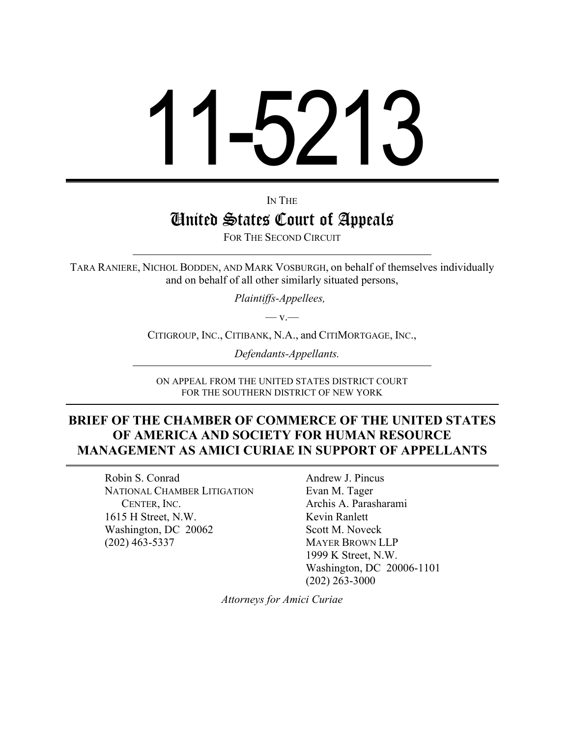# 11-5213

IN THE

# United States Court of Appeals

FOR THE SECOND CIRCUIT

TARA RANIERE, NICHOL BODDEN, AND MARK VOSBURGH, on behalf of themselves individually and on behalf of all other similarly situated persons,

*Plaintiffs-Appellees,*

 $-$  v $-$ 

CITIGROUP, INC., CITIBANK, N.A., and CITIMORTGAGE, INC.,

*Defendants-Appellants.*

ON APPEAL FROM THE UNITED STATES DISTRICT COURT FOR THE SOUTHERN DISTRICT OF NEW YORK

### **BRIEF OF THE CHAMBER OF COMMERCE OF THE UNITED STATES OF AMERICA AND SOCIETY FOR HUMAN RESOURCE MANAGEMENT AS AMICI CURIAE IN SUPPORT OF APPELLANTS**

Robin S. Conrad NATIONAL CHAMBER LITIGATION CENTER, INC. 1615 H Street, N.W. Washington, DC 20062 (202) 463-5337

Andrew J. Pincus Evan M. Tager Archis A. Parasharami Kevin Ranlett Scott M. Noveck MAYER BROWN LLP 1999 K Street, N.W. Washington, DC 20006-1101 (202) 263-3000

*Attorneys for Amici Curiae*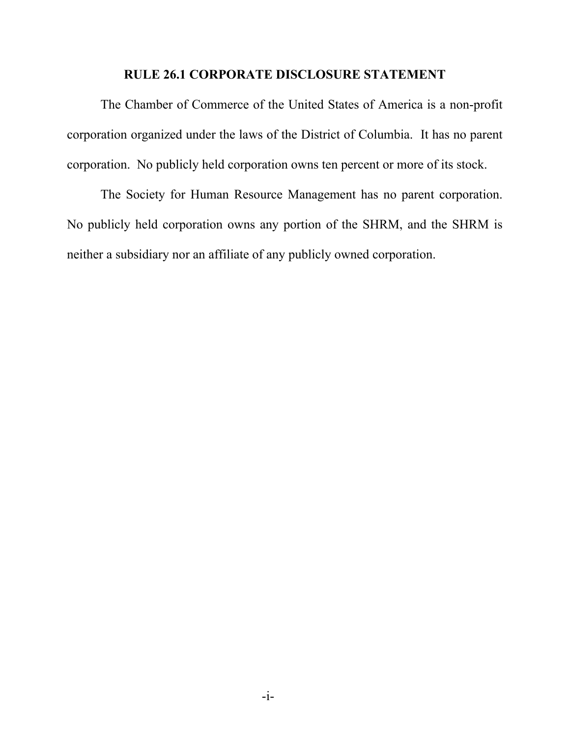#### **RULE 26.1 CORPORATE DISCLOSURE STATEMENT**

The Chamber of Commerce of the United States of America is a non-profit corporation organized under the laws of the District of Columbia. It has no parent corporation. No publicly held corporation owns ten percent or more of its stock.

The Society for Human Resource Management has no parent corporation. No publicly held corporation owns any portion of the SHRM, and the SHRM is neither a subsidiary nor an affiliate of any publicly owned corporation.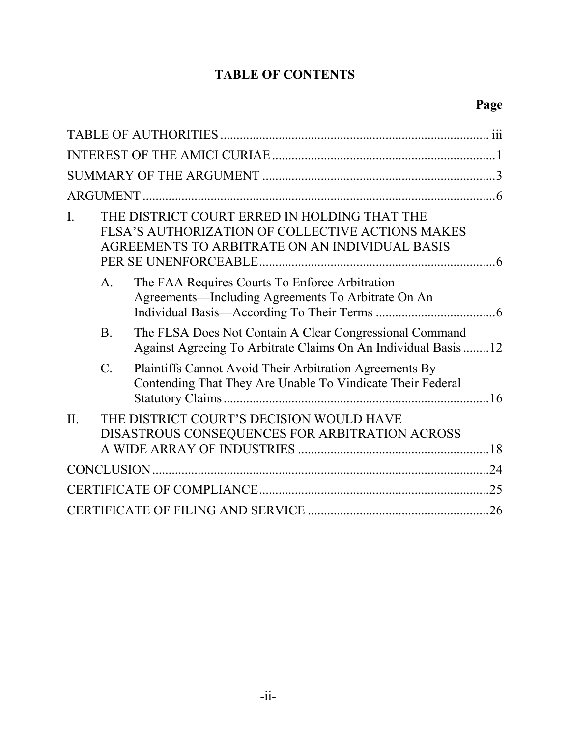# **TABLE OF CONTENTS**

| $\mathbf{I}$ . | THE DISTRICT COURT ERRED IN HOLDING THAT THE<br>FLSA'S AUTHORIZATION OF COLLECTIVE ACTIONS MAKES<br>AGREEMENTS TO ARBITRATE ON AN INDIVIDUAL BASIS |                                                                                                                           |    |
|----------------|----------------------------------------------------------------------------------------------------------------------------------------------------|---------------------------------------------------------------------------------------------------------------------------|----|
|                | $A_{\cdot}$                                                                                                                                        | The FAA Requires Courts To Enforce Arbitration<br>Agreements—Including Agreements To Arbitrate On An                      |    |
|                | B <sub>1</sub>                                                                                                                                     | The FLSA Does Not Contain A Clear Congressional Command<br>Against Agreeing To Arbitrate Claims On An Individual Basis 12 |    |
|                | $C$ .                                                                                                                                              | Plaintiffs Cannot Avoid Their Arbitration Agreements By<br>Contending That They Are Unable To Vindicate Their Federal     |    |
| II.            |                                                                                                                                                    | THE DISTRICT COURT'S DECISION WOULD HAVE<br>DISASTROUS CONSEQUENCES FOR ARBITRATION ACROSS                                |    |
|                |                                                                                                                                                    |                                                                                                                           | 24 |
|                |                                                                                                                                                    |                                                                                                                           |    |
|                |                                                                                                                                                    |                                                                                                                           | 26 |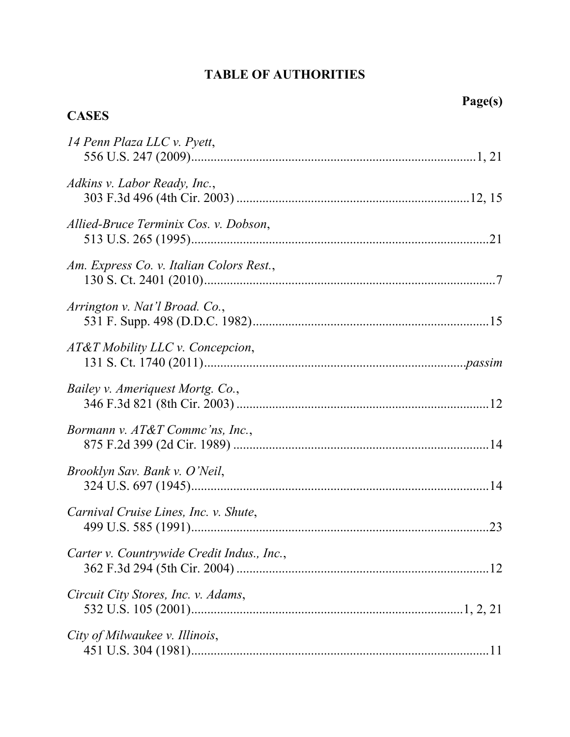## **TABLE OF AUTHORITIES**

| <b>CASES</b>                               |  |
|--------------------------------------------|--|
| 14 Penn Plaza LLC v. Pyett,                |  |
| Adkins v. Labor Ready, Inc.,               |  |
| Allied-Bruce Terminix Cos. v. Dobson,      |  |
| Am. Express Co. v. Italian Colors Rest.,   |  |
| Arrington v. Nat'l Broad. Co.,             |  |
| AT&T Mobility LLC v. Concepcion,           |  |
| Bailey v. Ameriquest Mortg. Co.,           |  |
| Bormann v. AT&T Comme'ns, Inc.,            |  |
| Brooklyn Sav. Bank v. O'Neil,              |  |
| Carnival Cruise Lines, Inc. v. Shute,      |  |
| Carter v. Countrywide Credit Indus., Inc., |  |
| Circuit City Stores, Inc. v. Adams,        |  |
| City of Milwaukee v. Illinois,             |  |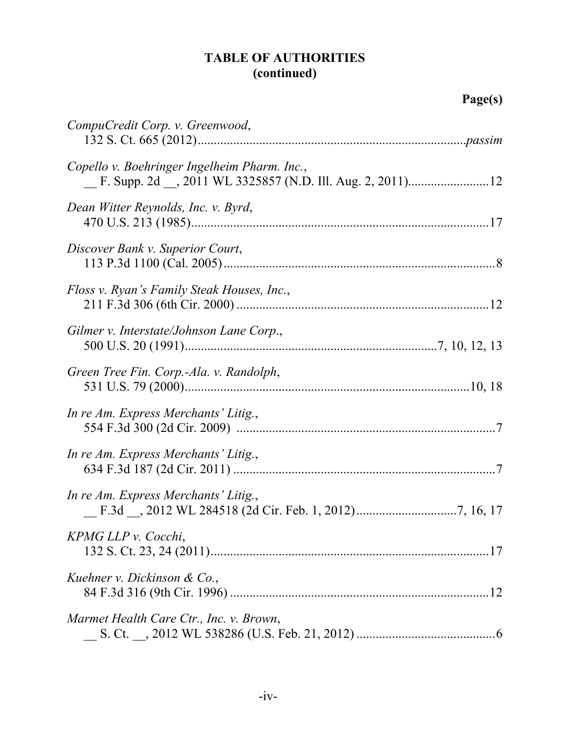# **TABLE OF AUTHORITIES (continued)**

| CompuCredit Corp. v. Greenwood,              |  |
|----------------------------------------------|--|
| Copello v. Boehringer Ingelheim Pharm. Inc., |  |
| Dean Witter Reynolds, Inc. v. Byrd,          |  |
| Discover Bank v. Superior Court,             |  |
| Floss v. Ryan's Family Steak Houses, Inc.,   |  |
| Gilmer v. Interstate/Johnson Lane Corp.,     |  |
| Green Tree Fin. Corp.-Ala. v. Randolph,      |  |
| In re Am. Express Merchants' Litig.,         |  |
| In re Am. Express Merchants' Litig.,         |  |
| In re Am. Express Merchants' Litig.,         |  |
| KPMG LLP v. Cocchi,                          |  |
| Kuehner v. Dickinson & Co.,                  |  |
| Marmet Health Care Ctr., Inc. v. Brown,      |  |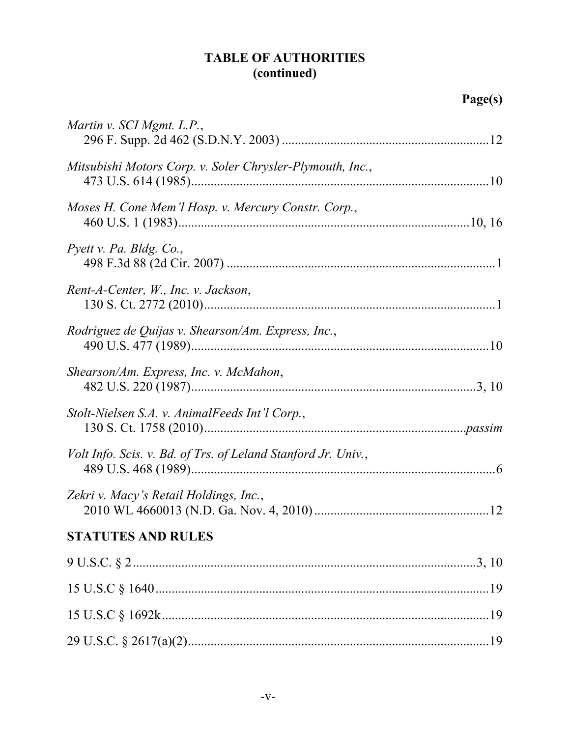# **TABLE OF AUTHORITIES** (continued)

| Martin v. SCI Mgmt. L.P.,                                     |  |
|---------------------------------------------------------------|--|
| Mitsubishi Motors Corp. v. Soler Chrysler-Plymouth, Inc.,     |  |
| Moses H. Cone Mem'l Hosp. v. Mercury Constr. Corp.,           |  |
| Pyett v. Pa. Bldg. Co.,                                       |  |
| Rent-A-Center, W., Inc. v. Jackson,                           |  |
| Rodriguez de Quijas v. Shearson/Am. Express, Inc.,            |  |
| Shearson/Am. Express, Inc. v. McMahon,                        |  |
| Stolt-Nielsen S.A. v. AnimalFeeds Int'l Corp.,                |  |
| Volt Info. Scis. v. Bd. of Trs. of Leland Stanford Jr. Univ., |  |
| Zekri v. Macy's Retail Holdings, Inc.,                        |  |
| <b>STATUTES AND RULES</b>                                     |  |
|                                                               |  |
|                                                               |  |
|                                                               |  |
|                                                               |  |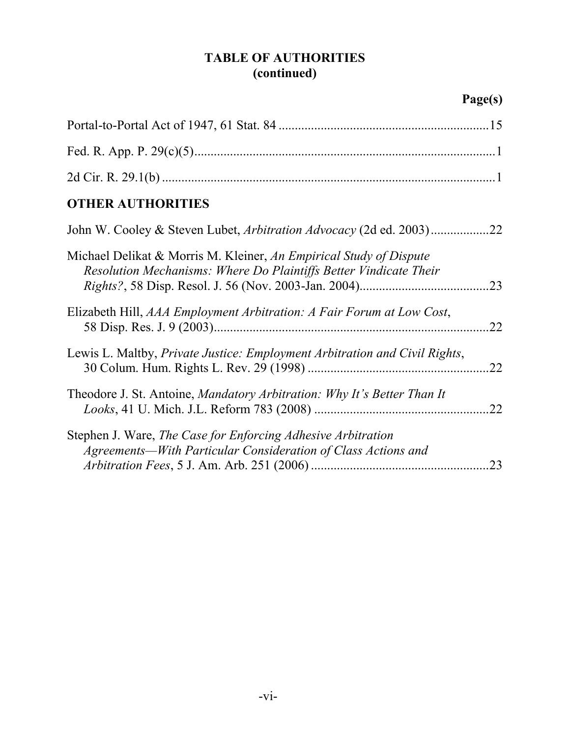# **TABLE OF AUTHORITIES (continued)**

| <b>OTHER AUTHORITIES</b>                                                                                                                       |  |
|------------------------------------------------------------------------------------------------------------------------------------------------|--|
| John W. Cooley & Steven Lubet, <i>Arbitration Advocacy</i> (2d ed. 2003)<br>.22                                                                |  |
| Michael Delikat & Morris M. Kleiner, An Empirical Study of Dispute<br>Resolution Mechanisms: Where Do Plaintiffs Better Vindicate Their<br>.23 |  |
| Elizabeth Hill, AAA Employment Arbitration: A Fair Forum at Low Cost,<br>22                                                                    |  |
| Lewis L. Maltby, <i>Private Justice: Employment Arbitration and Civil Rights</i> ,<br>.22                                                      |  |
| Theodore J. St. Antoine, <i>Mandatory Arbitration: Why It's Better Than It</i><br>22                                                           |  |
| Stephen J. Ware, The Case for Enforcing Adhesive Arbitration<br>Agreements—With Particular Consideration of Class Actions and<br>23            |  |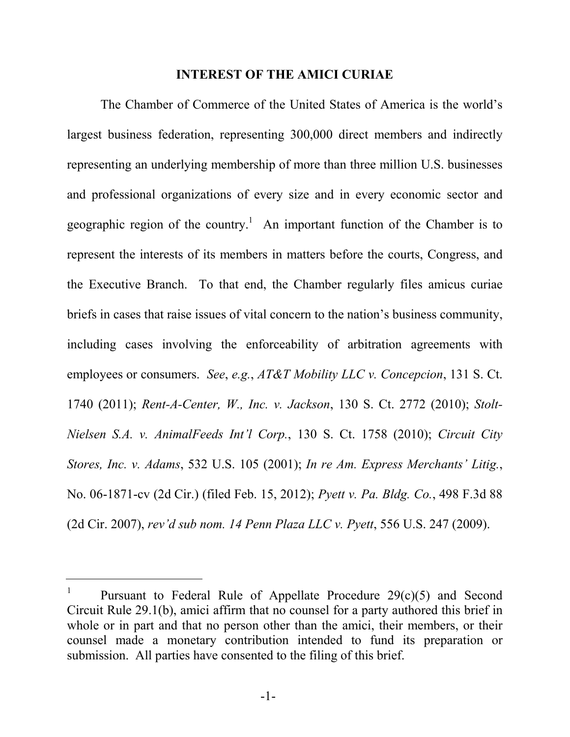#### **INTEREST OF THE AMICI CURIAE**

The Chamber of Commerce of the United States of America is the world's largest business federation, representing 300,000 direct members and indirectly representing an underlying membership of more than three million U.S. businesses and professional organizations of every size and in every economic sector and geographic region of the country.<sup>1</sup> An important function of the Chamber is to represent the interests of its members in matters before the courts, Congress, and the Executive Branch. To that end, the Chamber regularly files amicus curiae briefs in cases that raise issues of vital concern to the nation's business community, including cases involving the enforceability of arbitration agreements with employees or consumers. *See*, *e.g.*, *AT&T Mobility LLC v. Concepcion*, 131 S. Ct. 1740 (2011); *Rent-A-Center, W., Inc. v. Jackson*, 130 S. Ct. 2772 (2010); *Stolt-Nielsen S.A. v. AnimalFeeds Int'l Corp.*, 130 S. Ct. 1758 (2010); *Circuit City Stores, Inc. v. Adams*, 532 U.S. 105 (2001); *In re Am. Express Merchants' Litig.*, No. 06-1871-cv (2d Cir.) (filed Feb. 15, 2012); *Pyett v. Pa. Bldg. Co.*, 498 F.3d 88 (2d Cir. 2007), *rev'd sub nom. 14 Penn Plaza LLC v. Pyett*, 556 U.S. 247 (2009).

<sup>1</sup> Pursuant to Federal Rule of Appellate Procedure 29(c)(5) and Second Circuit Rule 29.1(b), amici affirm that no counsel for a party authored this brief in whole or in part and that no person other than the amici, their members, or their counsel made a monetary contribution intended to fund its preparation or submission. All parties have consented to the filing of this brief.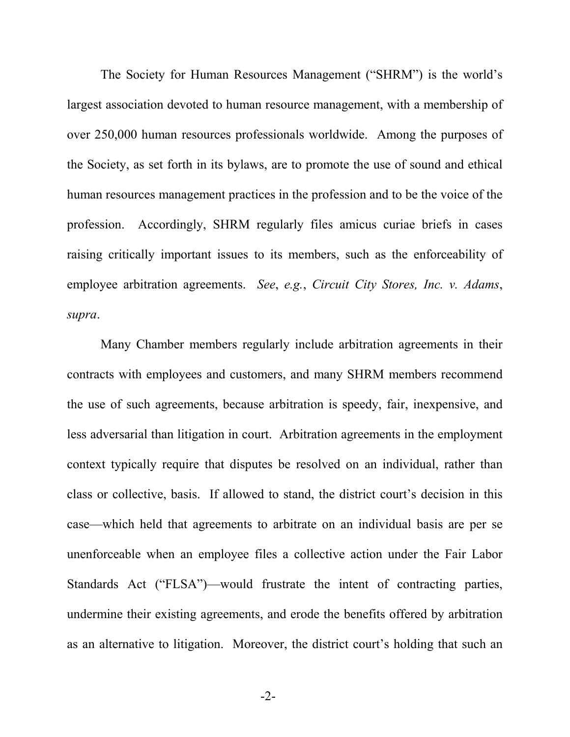The Society for Human Resources Management ("SHRM") is the world's largest association devoted to human resource management, with a membership of over 250,000 human resources professionals worldwide. Among the purposes of the Society, as set forth in its bylaws, are to promote the use of sound and ethical human resources management practices in the profession and to be the voice of the profession. Accordingly, SHRM regularly files amicus curiae briefs in cases raising critically important issues to its members, such as the enforceability of employee arbitration agreements. *See*, *e.g.*, *Circuit City Stores, Inc. v. Adams*, *supra*.

Many Chamber members regularly include arbitration agreements in their contracts with employees and customers, and many SHRM members recommend the use of such agreements, because arbitration is speedy, fair, inexpensive, and less adversarial than litigation in court. Arbitration agreements in the employment context typically require that disputes be resolved on an individual, rather than class or collective, basis. If allowed to stand, the district court's decision in this case—which held that agreements to arbitrate on an individual basis are per se unenforceable when an employee files a collective action under the Fair Labor Standards Act ("FLSA")—would frustrate the intent of contracting parties, undermine their existing agreements, and erode the benefits offered by arbitration as an alternative to litigation. Moreover, the district court's holding that such an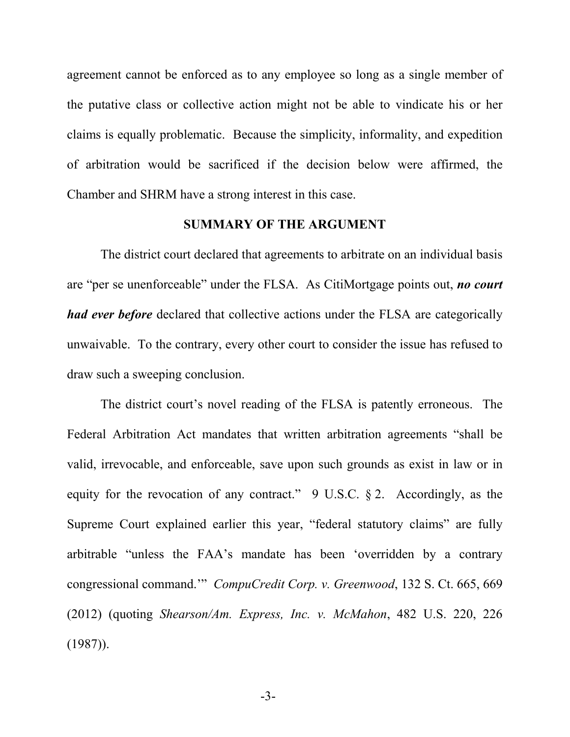agreement cannot be enforced as to any employee so long as a single member of the putative class or collective action might not be able to vindicate his or her claims is equally problematic. Because the simplicity, informality, and expedition of arbitration would be sacrificed if the decision below were affirmed, the Chamber and SHRM have a strong interest in this case.

#### **SUMMARY OF THE ARGUMENT**

The district court declared that agreements to arbitrate on an individual basis are "per se unenforceable" under the FLSA. As CitiMortgage points out, *no court had ever before* declared that collective actions under the FLSA are categorically unwaivable. To the contrary, every other court to consider the issue has refused to draw such a sweeping conclusion.

The district court's novel reading of the FLSA is patently erroneous. The Federal Arbitration Act mandates that written arbitration agreements "shall be valid, irrevocable, and enforceable, save upon such grounds as exist in law or in equity for the revocation of any contract." 9 U.S.C. § 2. Accordingly, as the Supreme Court explained earlier this year, "federal statutory claims" are fully arbitrable "unless the FAA's mandate has been 'overridden by a contrary congressional command.'" *CompuCredit Corp. v. Greenwood*, 132 S. Ct. 665, 669 (2012) (quoting *Shearson/Am. Express, Inc. v. McMahon*, 482 U.S. 220, 226  $(1987)$ ).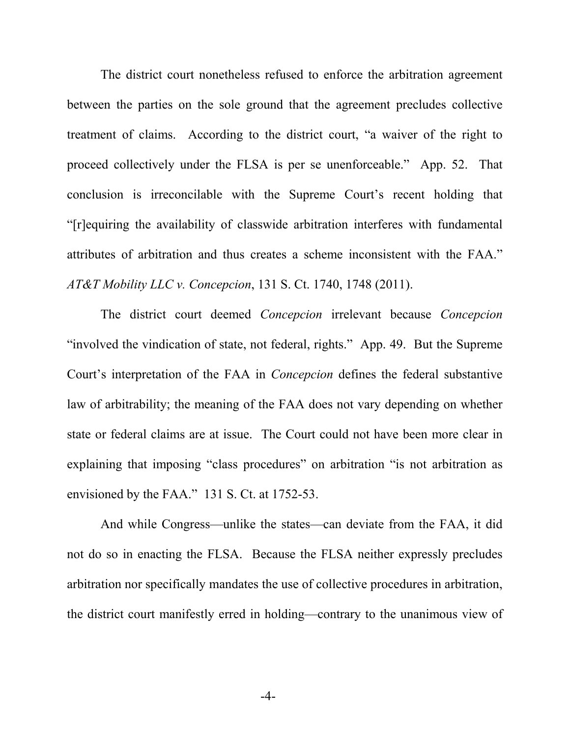The district court nonetheless refused to enforce the arbitration agreement between the parties on the sole ground that the agreement precludes collective treatment of claims. According to the district court, "a waiver of the right to proceed collectively under the FLSA is per se unenforceable." App. 52. That conclusion is irreconcilable with the Supreme Court's recent holding that "[r]equiring the availability of classwide arbitration interferes with fundamental attributes of arbitration and thus creates a scheme inconsistent with the FAA." *AT&T Mobility LLC v. Concepcion*, 131 S. Ct. 1740, 1748 (2011).

The district court deemed *Concepcion* irrelevant because *Concepcion*  "involved the vindication of state, not federal, rights." App. 49. But the Supreme Court's interpretation of the FAA in *Concepcion* defines the federal substantive law of arbitrability; the meaning of the FAA does not vary depending on whether state or federal claims are at issue. The Court could not have been more clear in explaining that imposing "class procedures" on arbitration "is not arbitration as envisioned by the FAA." 131 S. Ct. at 1752-53.

And while Congress—unlike the states—can deviate from the FAA, it did not do so in enacting the FLSA. Because the FLSA neither expressly precludes arbitration nor specifically mandates the use of collective procedures in arbitration, the district court manifestly erred in holding—contrary to the unanimous view of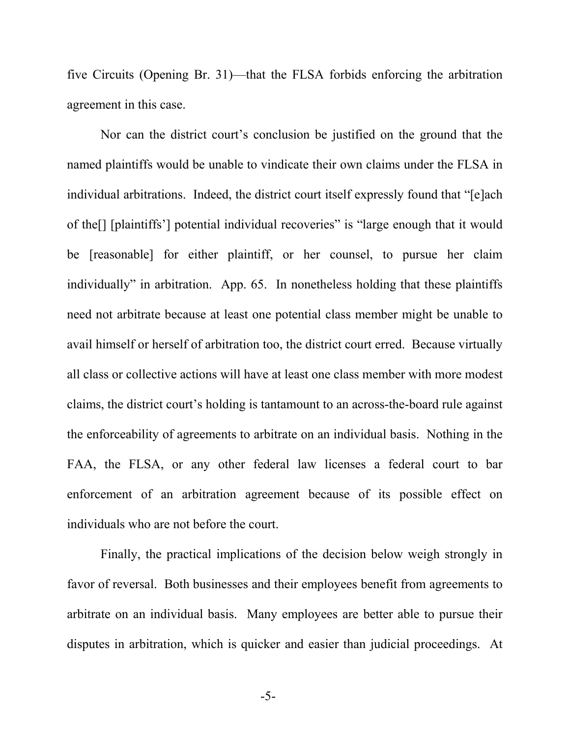five Circuits (Opening Br. 31)—that the FLSA forbids enforcing the arbitration agreement in this case.

Nor can the district court's conclusion be justified on the ground that the named plaintiffs would be unable to vindicate their own claims under the FLSA in individual arbitrations. Indeed, the district court itself expressly found that "[e]ach of the[] [plaintiffs'] potential individual recoveries" is "large enough that it would be [reasonable] for either plaintiff, or her counsel, to pursue her claim individually" in arbitration. App. 65. In nonetheless holding that these plaintiffs need not arbitrate because at least one potential class member might be unable to avail himself or herself of arbitration too, the district court erred. Because virtually all class or collective actions will have at least one class member with more modest claims, the district court's holding is tantamount to an across-the-board rule against the enforceability of agreements to arbitrate on an individual basis. Nothing in the FAA, the FLSA, or any other federal law licenses a federal court to bar enforcement of an arbitration agreement because of its possible effect on individuals who are not before the court.

Finally, the practical implications of the decision below weigh strongly in favor of reversal. Both businesses and their employees benefit from agreements to arbitrate on an individual basis. Many employees are better able to pursue their disputes in arbitration, which is quicker and easier than judicial proceedings. At

-5-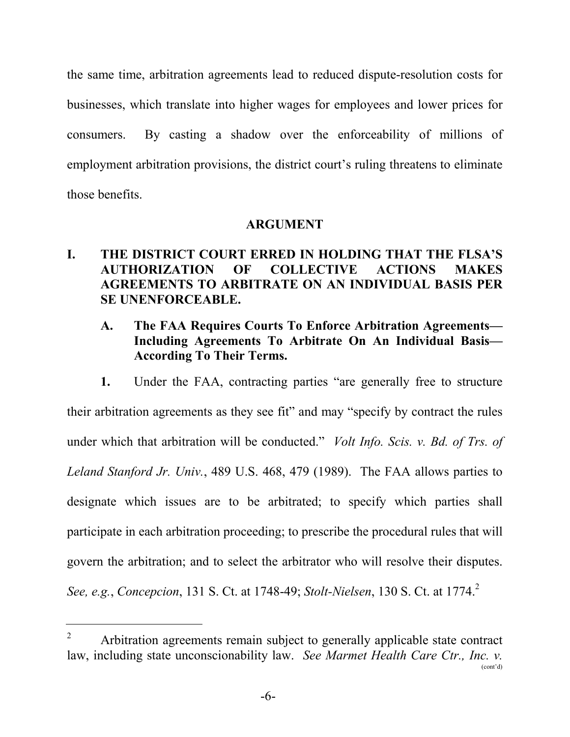the same time, arbitration agreements lead to reduced dispute-resolution costs for businesses, which translate into higher wages for employees and lower prices for consumers. By casting a shadow over the enforceability of millions of employment arbitration provisions, the district court's ruling threatens to eliminate those benefits.

#### **ARGUMENT**

### **I. THE DISTRICT COURT ERRED IN HOLDING THAT THE FLSA'S AUTHORIZATION OF COLLECTIVE ACTIONS MAKES AGREEMENTS TO ARBITRATE ON AN INDIVIDUAL BASIS PER SE UNENFORCEABLE.**

### **A. The FAA Requires Courts To Enforce Arbitration Agreements— Including Agreements To Arbitrate On An Individual Basis— According To Their Terms.**

**1.** Under the FAA, contracting parties "are generally free to structure their arbitration agreements as they see fit" and may "specify by contract the rules under which that arbitration will be conducted." *Volt Info. Scis. v. Bd. of Trs. of Leland Stanford Jr. Univ.*, 489 U.S. 468, 479 (1989). The FAA allows parties to designate which issues are to be arbitrated; to specify which parties shall participate in each arbitration proceeding; to prescribe the procedural rules that will govern the arbitration; and to select the arbitrator who will resolve their disputes. *See, e.g., Concepcion, 131 S. Ct. at 1748-49; <i>Stolt-Nielsen, 130 S. Ct. at 1774.*<sup>2</sup>

 $2^2$  Arbitration agreements remain subject to generally applicable state contract law, including state unconscionability law. *See Marmet Health Care Ctr., Inc. v.*  (cont'd)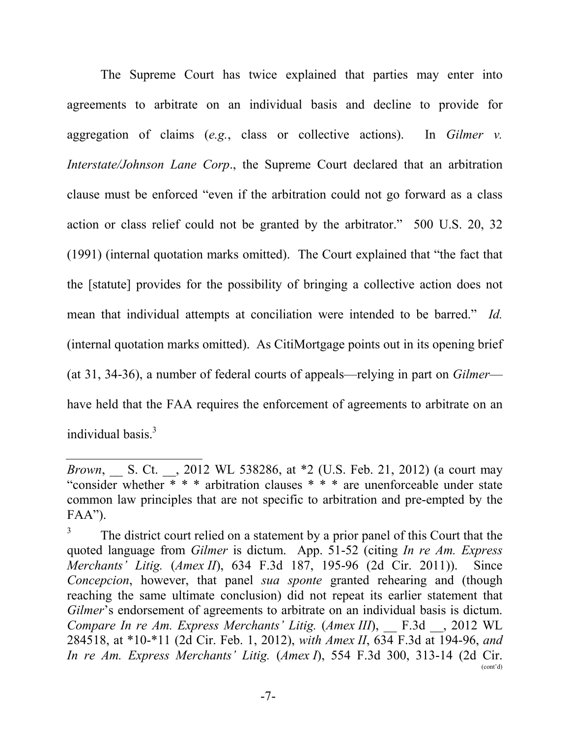The Supreme Court has twice explained that parties may enter into agreements to arbitrate on an individual basis and decline to provide for aggregation of claims (*e.g.*, class or collective actions). In *Gilmer v. Interstate/Johnson Lane Corp*., the Supreme Court declared that an arbitration clause must be enforced "even if the arbitration could not go forward as a class action or class relief could not be granted by the arbitrator." 500 U.S. 20, 32 (1991) (internal quotation marks omitted). The Court explained that "the fact that the [statute] provides for the possibility of bringing a collective action does not mean that individual attempts at conciliation were intended to be barred." *Id.* (internal quotation marks omitted). As CitiMortgage points out in its opening brief (at 31, 34-36), a number of federal courts of appeals—relying in part on *Gilmer* have held that the FAA requires the enforcement of agreements to arbitrate on an individual basis.<sup>3</sup>

*Brown*, \_\_ S. Ct. \_\_, 2012 WL 538286, at \*2 (U.S. Feb. 21, 2012) (a court may "consider whether \* \* \* arbitration clauses \* \* \* are unenforceable under state common law principles that are not specific to arbitration and pre-empted by the  $FAA$ ").

<sup>3</sup> The district court relied on a statement by a prior panel of this Court that the quoted language from *Gilmer* is dictum. App. 51-52 (citing *In re Am. Express Merchants' Litig.* (*Amex II*), 634 F.3d 187, 195-96 (2d Cir. 2011)). Since *Concepcion*, however, that panel *sua sponte* granted rehearing and (though reaching the same ultimate conclusion) did not repeat its earlier statement that *Gilmer*'s endorsement of agreements to arbitrate on an individual basis is dictum. *Compare In re Am. Express Merchants' Litig.* (*Amex III*), \_\_ F.3d \_\_, 2012 WL 284518, at \*10-\*11 (2d Cir. Feb. 1, 2012), *with Amex II*, 634 F.3d at 194-96, *and In re Am. Express Merchants' Litig.* (*Amex I*), 554 F.3d 300, 313-14 (2d Cir. (cont'd)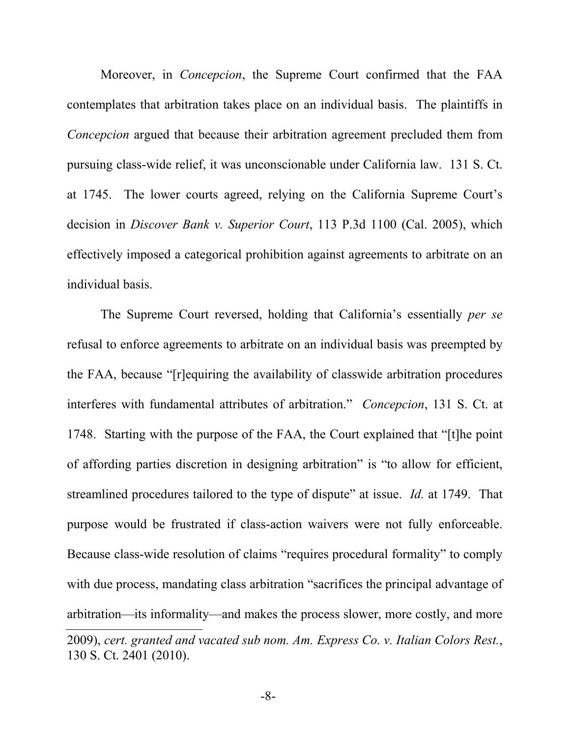Moreover, in *Concepcion*, the Supreme Court confirmed that the FAA contemplates that arbitration takes place on an individual basis. The plaintiffs in *Concepcion* argued that because their arbitration agreement precluded them from pursuing class-wide relief, it was unconscionable under California law. 131 S. Ct. at 1745. The lower courts agreed, relying on the California Supreme Court's decision in *Discover Bank v. Superior Court*, 113 P.3d 1100 (Cal. 2005), which effectively imposed a categorical prohibition against agreements to arbitrate on an individual basis.

The Supreme Court reversed, holding that California's essentially *per se*  refusal to enforce agreements to arbitrate on an individual basis was preempted by the FAA, because "[r]equiring the availability of classwide arbitration procedures interferes with fundamental attributes of arbitration." *Concepcion*, 131 S. Ct. at 1748. Starting with the purpose of the FAA, the Court explained that "[t]he point of affording parties discretion in designing arbitration" is "to allow for efficient, streamlined procedures tailored to the type of dispute" at issue. *Id.* at 1749. That purpose would be frustrated if class-action waivers were not fully enforceable. Because class-wide resolution of claims "requires procedural formality" to comply with due process, mandating class arbitration "sacrifices the principal advantage of arbitration—its informality—and makes the process slower, more costly, and more 2009), *cert. granted and vacated sub nom. Am. Express Co. v. Italian Colors Rest.*, 130 S. Ct. 2401 (2010).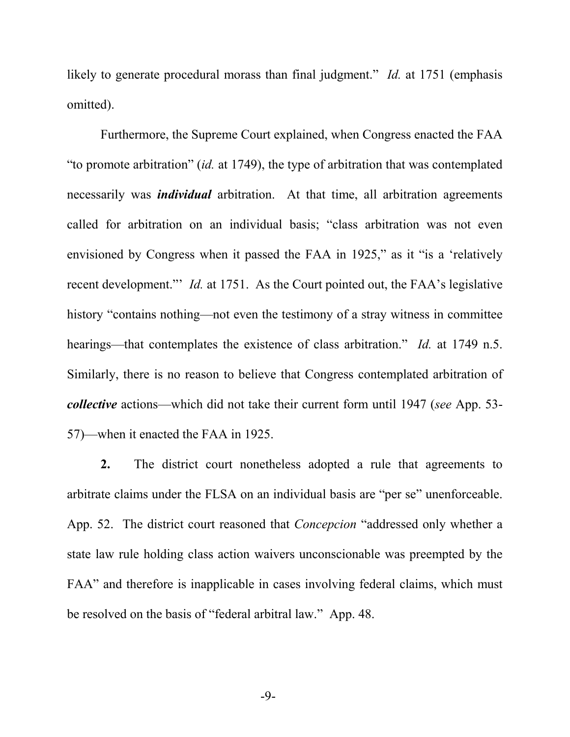likely to generate procedural morass than final judgment." *Id.* at 1751 (emphasis omitted).

Furthermore, the Supreme Court explained, when Congress enacted the FAA "to promote arbitration" (*id.* at 1749), the type of arbitration that was contemplated necessarily was *individual* arbitration. At that time, all arbitration agreements called for arbitration on an individual basis; "class arbitration was not even envisioned by Congress when it passed the FAA in 1925," as it "is a 'relatively recent development."' *Id.* at 1751. As the Court pointed out, the FAA's legislative history "contains nothing—not even the testimony of a stray witness in committee hearings—that contemplates the existence of class arbitration." *Id.* at 1749 n.5. Similarly, there is no reason to believe that Congress contemplated arbitration of *collective* actions—which did not take their current form until 1947 (*see* App. 53- 57)—when it enacted the FAA in 1925.

**2.** The district court nonetheless adopted a rule that agreements to arbitrate claims under the FLSA on an individual basis are "per se" unenforceable. App. 52. The district court reasoned that *Concepcion* "addressed only whether a state law rule holding class action waivers unconscionable was preempted by the FAA" and therefore is inapplicable in cases involving federal claims, which must be resolved on the basis of "federal arbitral law." App. 48.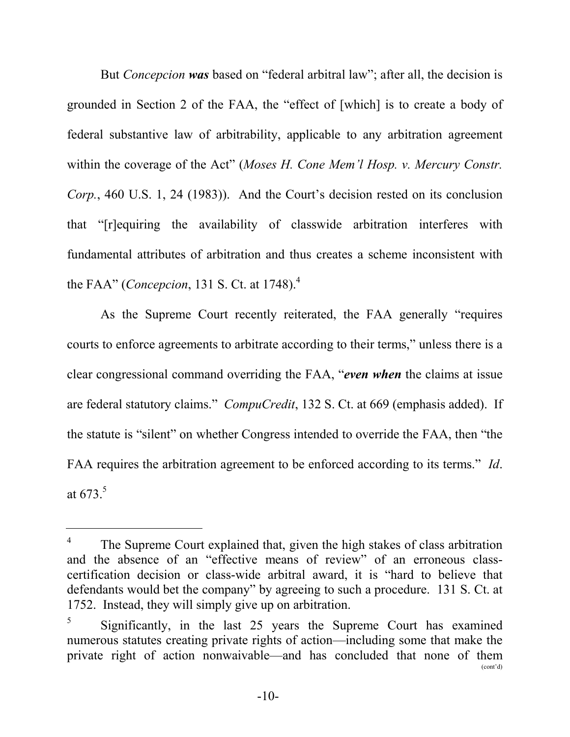But *Concepcion was* based on "federal arbitral law"; after all, the decision is grounded in Section 2 of the FAA, the "effect of [which] is to create a body of federal substantive law of arbitrability, applicable to any arbitration agreement within the coverage of the Act" (*Moses H. Cone Mem'l Hosp. v. Mercury Constr. Corp.*, 460 U.S. 1, 24 (1983)). And the Court's decision rested on its conclusion that "[r]equiring the availability of classwide arbitration interferes with fundamental attributes of arbitration and thus creates a scheme inconsistent with the FAA" (*Concepcion*, 131 S. Ct. at 1748).<sup>4</sup>

As the Supreme Court recently reiterated, the FAA generally "requires courts to enforce agreements to arbitrate according to their terms," unless there is a clear congressional command overriding the FAA, "*even when* the claims at issue are federal statutory claims." *CompuCredit*, 132 S. Ct. at 669 (emphasis added). If the statute is "silent" on whether Congress intended to override the FAA, then "the FAA requires the arbitration agreement to be enforced according to its terms." *Id*. at  $673<sup>5</sup>$ 

<sup>4</sup> The Supreme Court explained that, given the high stakes of class arbitration and the absence of an "effective means of review" of an erroneous classcertification decision or class-wide arbitral award, it is "hard to believe that defendants would bet the company" by agreeing to such a procedure. 131 S. Ct. at 1752. Instead, they will simply give up on arbitration.

<sup>5</sup> Significantly, in the last 25 years the Supreme Court has examined numerous statutes creating private rights of action—including some that make the private right of action nonwaivable—and has concluded that none of them (cont'd)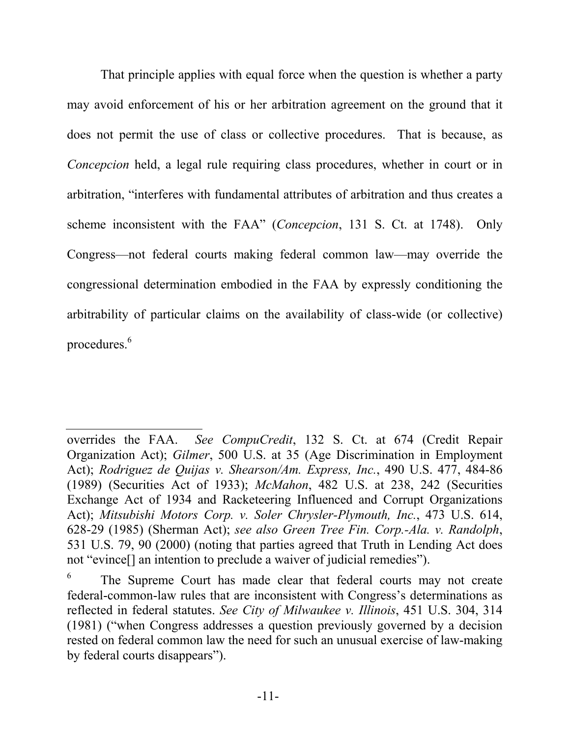That principle applies with equal force when the question is whether a party may avoid enforcement of his or her arbitration agreement on the ground that it does not permit the use of class or collective procedures. That is because, as *Concepcion* held, a legal rule requiring class procedures, whether in court or in arbitration, "interferes with fundamental attributes of arbitration and thus creates a scheme inconsistent with the FAA" (*Concepcion*, 131 S. Ct. at 1748). Only Congress—not federal courts making federal common law—may override the congressional determination embodied in the FAA by expressly conditioning the arbitrability of particular claims on the availability of class-wide (or collective) procedures.<sup>6</sup>

overrides the FAA. *See CompuCredit*, 132 S. Ct. at 674 (Credit Repair Organization Act); *Gilmer*, 500 U.S. at 35 (Age Discrimination in Employment Act); *Rodriguez de Quijas v. Shearson/Am. Express, Inc.*, 490 U.S. 477, 484-86 (1989) (Securities Act of 1933); *McMahon*, 482 U.S. at 238, 242 (Securities Exchange Act of 1934 and Racketeering Influenced and Corrupt Organizations Act); *Mitsubishi Motors Corp. v. Soler Chrysler-Plymouth, Inc.*, 473 U.S. 614, 628-29 (1985) (Sherman Act); *see also Green Tree Fin. Corp.-Ala. v. Randolph*, 531 U.S. 79, 90 (2000) (noting that parties agreed that Truth in Lending Act does not "evince[] an intention to preclude a waiver of judicial remedies").

<sup>6</sup> The Supreme Court has made clear that federal courts may not create federal-common-law rules that are inconsistent with Congress's determinations as reflected in federal statutes. *See City of Milwaukee v. Illinois*, 451 U.S. 304, 314 (1981) ("when Congress addresses a question previously governed by a decision rested on federal common law the need for such an unusual exercise of law-making by federal courts disappears").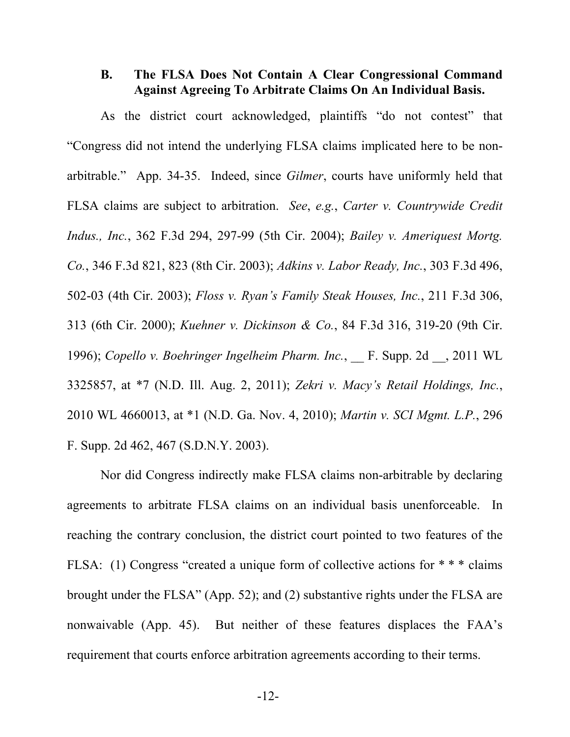#### **B. The FLSA Does Not Contain A Clear Congressional Command Against Agreeing To Arbitrate Claims On An Individual Basis.**

As the district court acknowledged, plaintiffs "do not contest" that "Congress did not intend the underlying FLSA claims implicated here to be nonarbitrable." App. 34-35. Indeed, since *Gilmer*, courts have uniformly held that FLSA claims are subject to arbitration. *See*, *e.g.*, *Carter v. Countrywide Credit Indus., Inc.*, 362 F.3d 294, 297-99 (5th Cir. 2004); *Bailey v. Ameriquest Mortg. Co.*, 346 F.3d 821, 823 (8th Cir. 2003); *Adkins v. Labor Ready, Inc.*, 303 F.3d 496, 502-03 (4th Cir. 2003); *Floss v. Ryan's Family Steak Houses, Inc.*, 211 F.3d 306, 313 (6th Cir. 2000); *Kuehner v. Dickinson & Co.*, 84 F.3d 316, 319-20 (9th Cir. 1996); *Copello v. Boehringer Ingelheim Pharm. Inc.*, F. Supp. 2d , 2011 WL 3325857, at \*7 (N.D. Ill. Aug. 2, 2011); *Zekri v. Macy's Retail Holdings, Inc.*, 2010 WL 4660013, at \*1 (N.D. Ga. Nov. 4, 2010); *Martin v. SCI Mgmt. L.P.*, 296 F. Supp. 2d 462, 467 (S.D.N.Y. 2003).

Nor did Congress indirectly make FLSA claims non-arbitrable by declaring agreements to arbitrate FLSA claims on an individual basis unenforceable. In reaching the contrary conclusion, the district court pointed to two features of the FLSA: (1) Congress "created a unique form of collective actions for \* \* \* claims brought under the FLSA" (App. 52); and (2) substantive rights under the FLSA are nonwaivable (App. 45). But neither of these features displaces the FAA's requirement that courts enforce arbitration agreements according to their terms.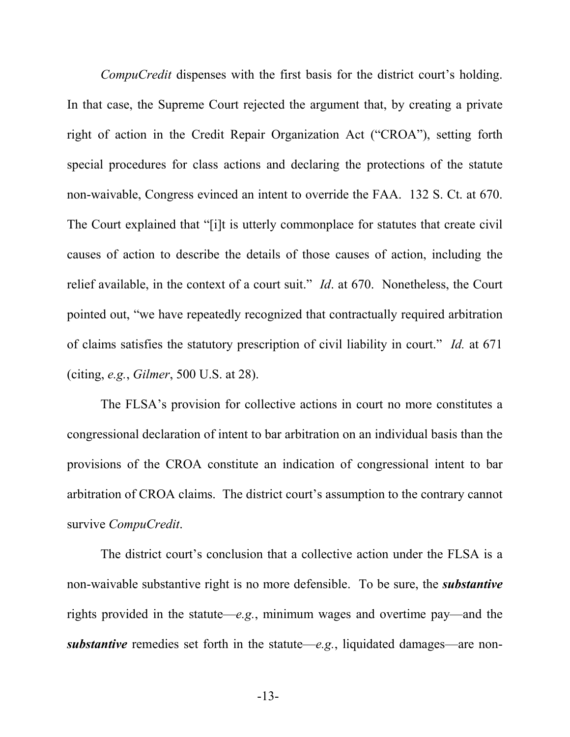*CompuCredit* dispenses with the first basis for the district court's holding. In that case, the Supreme Court rejected the argument that, by creating a private right of action in the Credit Repair Organization Act ("CROA"), setting forth special procedures for class actions and declaring the protections of the statute non-waivable, Congress evinced an intent to override the FAA. 132 S. Ct. at 670. The Court explained that "[i]t is utterly commonplace for statutes that create civil causes of action to describe the details of those causes of action, including the relief available, in the context of a court suit." *Id*. at 670. Nonetheless, the Court pointed out, "we have repeatedly recognized that contractually required arbitration of claims satisfies the statutory prescription of civil liability in court." *Id.* at 671 (citing, *e.g.*, *Gilmer*, 500 U.S. at 28).

The FLSA's provision for collective actions in court no more constitutes a congressional declaration of intent to bar arbitration on an individual basis than the provisions of the CROA constitute an indication of congressional intent to bar arbitration of CROA claims. The district court's assumption to the contrary cannot survive *CompuCredit*.

The district court's conclusion that a collective action under the FLSA is a non-waivable substantive right is no more defensible. To be sure, the *substantive* rights provided in the statute—*e.g.*, minimum wages and overtime pay—and the *substantive* remedies set forth in the statute—*e.g.*, liquidated damages—are non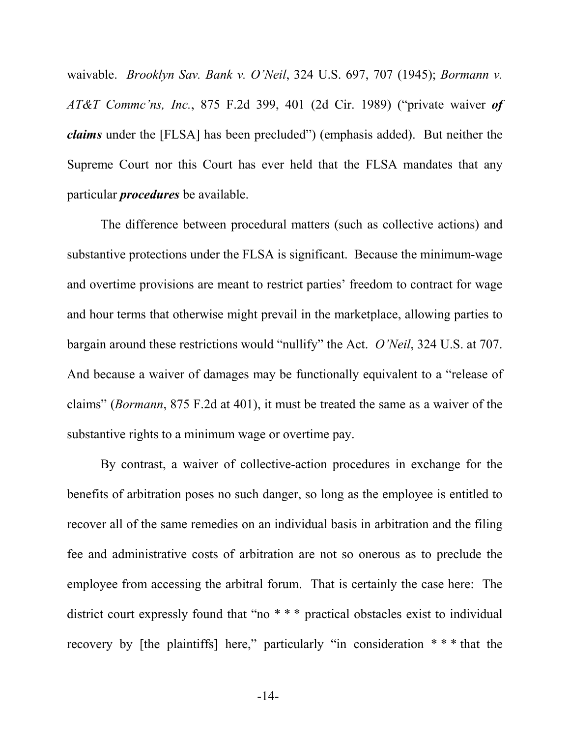waivable. *Brooklyn Sav. Bank v. O'Neil*, 324 U.S. 697, 707 (1945); *Bormann v. AT&T Commc'ns, Inc.*, 875 F.2d 399, 401 (2d Cir. 1989) ("private waiver *of claims* under the [FLSA] has been precluded") (emphasis added). But neither the Supreme Court nor this Court has ever held that the FLSA mandates that any particular *procedures* be available.

The difference between procedural matters (such as collective actions) and substantive protections under the FLSA is significant. Because the minimum-wage and overtime provisions are meant to restrict parties' freedom to contract for wage and hour terms that otherwise might prevail in the marketplace, allowing parties to bargain around these restrictions would "nullify" the Act. *O'Neil*, 324 U.S. at 707. And because a waiver of damages may be functionally equivalent to a "release of claims" (*Bormann*, 875 F.2d at 401), it must be treated the same as a waiver of the substantive rights to a minimum wage or overtime pay.

By contrast, a waiver of collective-action procedures in exchange for the benefits of arbitration poses no such danger, so long as the employee is entitled to recover all of the same remedies on an individual basis in arbitration and the filing fee and administrative costs of arbitration are not so onerous as to preclude the employee from accessing the arbitral forum. That is certainly the case here: The district court expressly found that "no \* \* \* practical obstacles exist to individual recovery by [the plaintiffs] here," particularly "in consideration  $**$ " that the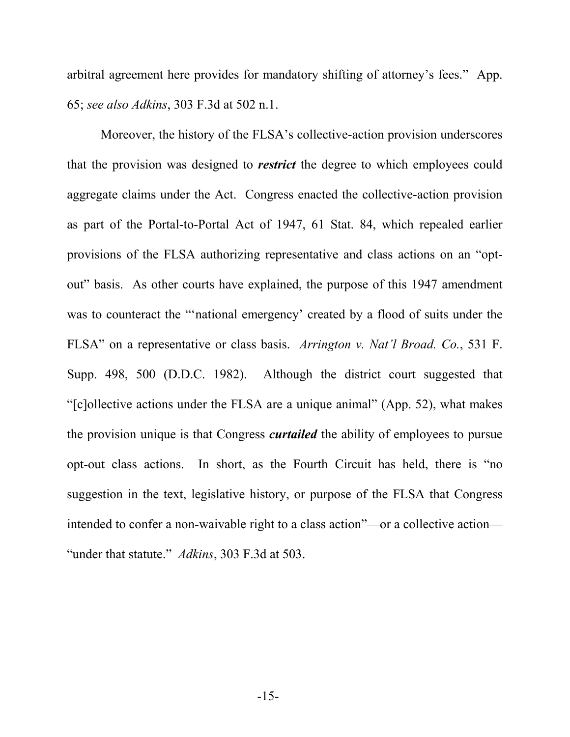arbitral agreement here provides for mandatory shifting of attorney's fees." App. 65; *see also Adkins*, 303 F.3d at 502 n.1.

Moreover, the history of the FLSA's collective-action provision underscores that the provision was designed to *restrict* the degree to which employees could aggregate claims under the Act. Congress enacted the collective-action provision as part of the Portal-to-Portal Act of 1947, 61 Stat. 84, which repealed earlier provisions of the FLSA authorizing representative and class actions on an "optout" basis. As other courts have explained, the purpose of this 1947 amendment was to counteract the "'national emergency' created by a flood of suits under the FLSA" on a representative or class basis. *Arrington v. Nat'l Broad. Co.*, 531 F. Supp. 498, 500 (D.D.C. 1982). Although the district court suggested that "[c]ollective actions under the FLSA are a unique animal" (App. 52), what makes the provision unique is that Congress *curtailed* the ability of employees to pursue opt-out class actions. In short, as the Fourth Circuit has held, there is "no suggestion in the text, legislative history, or purpose of the FLSA that Congress intended to confer a non-waivable right to a class action"—or a collective action— "under that statute." *Adkins*, 303 F.3d at 503.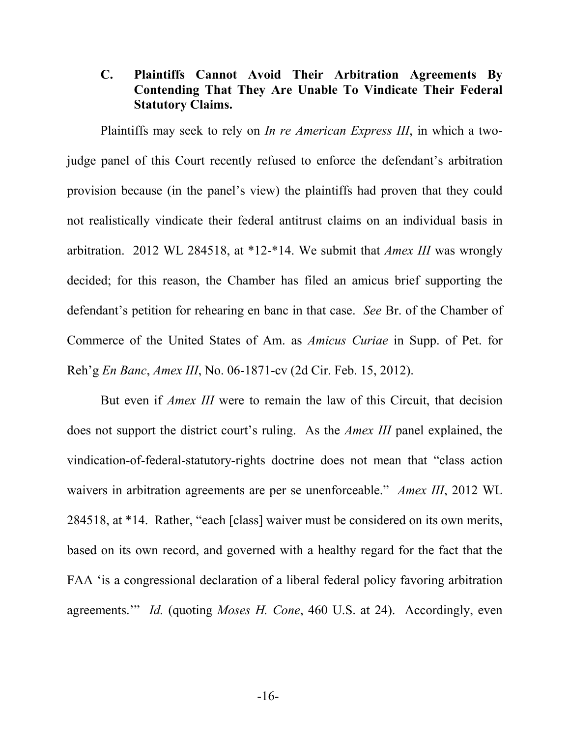#### **C. Plaintiffs Cannot Avoid Their Arbitration Agreements By Contending That They Are Unable To Vindicate Their Federal Statutory Claims.**

Plaintiffs may seek to rely on *In re American Express III*, in which a twojudge panel of this Court recently refused to enforce the defendant's arbitration provision because (in the panel's view) the plaintiffs had proven that they could not realistically vindicate their federal antitrust claims on an individual basis in arbitration. 2012 WL 284518, at \*12-\*14. We submit that *Amex III* was wrongly decided; for this reason, the Chamber has filed an amicus brief supporting the defendant's petition for rehearing en banc in that case. *See* Br. of the Chamber of Commerce of the United States of Am. as *Amicus Curiae* in Supp. of Pet. for Reh'g *En Banc*, *Amex III*, No. 06-1871-cv (2d Cir. Feb. 15, 2012).

But even if *Amex III* were to remain the law of this Circuit, that decision does not support the district court's ruling. As the *Amex III* panel explained, the vindication-of-federal-statutory-rights doctrine does not mean that "class action waivers in arbitration agreements are per se unenforceable." *Amex III*, 2012 WL 284518, at \*14. Rather, "each [class] waiver must be considered on its own merits, based on its own record, and governed with a healthy regard for the fact that the FAA 'is a congressional declaration of a liberal federal policy favoring arbitration agreements.'" *Id.* (quoting *Moses H. Cone*, 460 U.S. at 24). Accordingly, even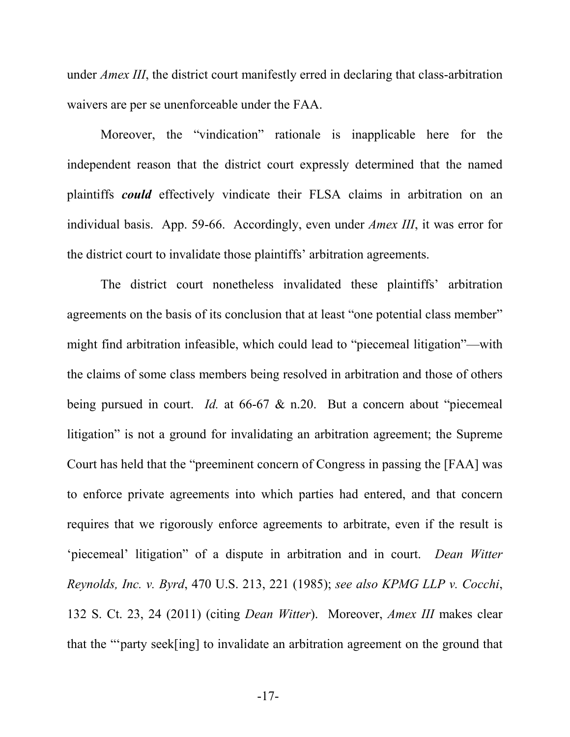under *Amex III*, the district court manifestly erred in declaring that class-arbitration waivers are per se unenforceable under the FAA.

Moreover, the "vindication" rationale is inapplicable here for the independent reason that the district court expressly determined that the named plaintiffs *could* effectively vindicate their FLSA claims in arbitration on an individual basis. App. 59-66. Accordingly, even under *Amex III*, it was error for the district court to invalidate those plaintiffs' arbitration agreements.

The district court nonetheless invalidated these plaintiffs' arbitration agreements on the basis of its conclusion that at least "one potential class member" might find arbitration infeasible, which could lead to "piecemeal litigation"—with the claims of some class members being resolved in arbitration and those of others being pursued in court. *Id.* at 66-67 & n.20. But a concern about "piecemeal litigation" is not a ground for invalidating an arbitration agreement; the Supreme Court has held that the "preeminent concern of Congress in passing the [FAA] was to enforce private agreements into which parties had entered, and that concern requires that we rigorously enforce agreements to arbitrate, even if the result is 'piecemeal' litigation" of a dispute in arbitration and in court. *Dean Witter Reynolds, Inc. v. Byrd*, 470 U.S. 213, 221 (1985); *see also KPMG LLP v. Cocchi*, 132 S. Ct. 23, 24 (2011) (citing *Dean Witter*). Moreover, *Amex III* makes clear that the "'party seek[ing] to invalidate an arbitration agreement on the ground that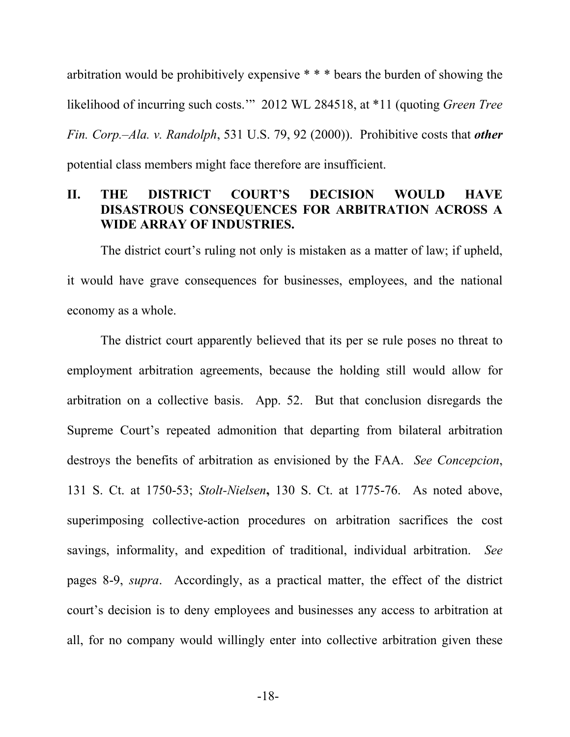arbitration would be prohibitively expensive \* \* \* bears the burden of showing the likelihood of incurring such costs.'" 2012 WL 284518, at \*11 (quoting *Green Tree Fin. Corp.–Ala. v. Randolph*, 531 U.S. 79, 92 (2000)). Prohibitive costs that *other* potential class members might face therefore are insufficient.

#### **II. THE DISTRICT COURT'S DECISION WOULD HAVE DISASTROUS CONSEQUENCES FOR ARBITRATION ACROSS A WIDE ARRAY OF INDUSTRIES.**

The district court's ruling not only is mistaken as a matter of law; if upheld, it would have grave consequences for businesses, employees, and the national economy as a whole.

The district court apparently believed that its per se rule poses no threat to employment arbitration agreements, because the holding still would allow for arbitration on a collective basis. App. 52. But that conclusion disregards the Supreme Court's repeated admonition that departing from bilateral arbitration destroys the benefits of arbitration as envisioned by the FAA. *See Concepcion*, 131 S. Ct. at 1750-53; *Stolt-Nielsen***,** 130 S. Ct. at 1775-76. As noted above, superimposing collective-action procedures on arbitration sacrifices the cost savings, informality, and expedition of traditional, individual arbitration. *See* pages 8-9, *supra*. Accordingly, as a practical matter, the effect of the district court's decision is to deny employees and businesses any access to arbitration at all, for no company would willingly enter into collective arbitration given these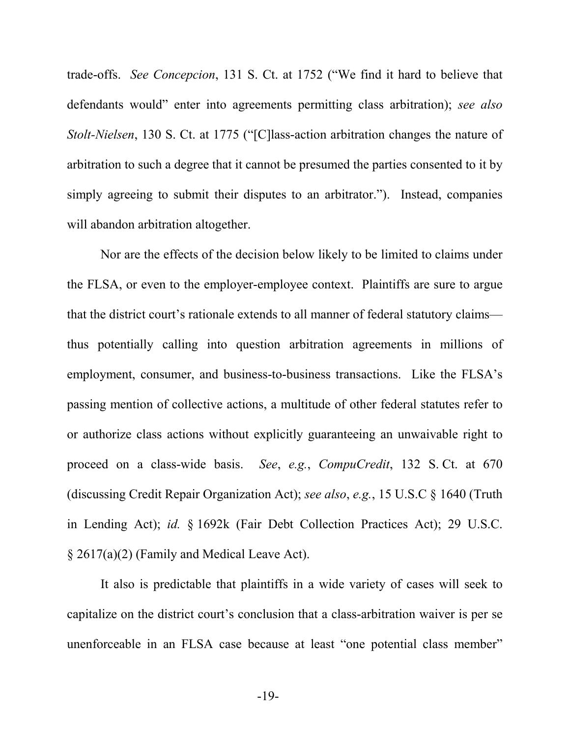trade-offs. *See Concepcion*, 131 S. Ct. at 1752 ("We find it hard to believe that defendants would" enter into agreements permitting class arbitration); *see also Stolt-Nielsen*, 130 S. Ct. at 1775 ("[C]lass-action arbitration changes the nature of arbitration to such a degree that it cannot be presumed the parties consented to it by simply agreeing to submit their disputes to an arbitrator."). Instead, companies will abandon arbitration altogether.

Nor are the effects of the decision below likely to be limited to claims under the FLSA, or even to the employer-employee context. Plaintiffs are sure to argue that the district court's rationale extends to all manner of federal statutory claims thus potentially calling into question arbitration agreements in millions of employment, consumer, and business-to-business transactions. Like the FLSA's passing mention of collective actions, a multitude of other federal statutes refer to or authorize class actions without explicitly guaranteeing an unwaivable right to proceed on a class-wide basis. *See*, *e.g.*, *CompuCredit*, 132 S. Ct. at 670 (discussing Credit Repair Organization Act); *see also*, *e.g.*, 15 U.S.C § 1640 (Truth in Lending Act); *id.* § 1692k (Fair Debt Collection Practices Act); 29 U.S.C. § 2617(a)(2) (Family and Medical Leave Act).

It also is predictable that plaintiffs in a wide variety of cases will seek to capitalize on the district court's conclusion that a class-arbitration waiver is per se unenforceable in an FLSA case because at least "one potential class member"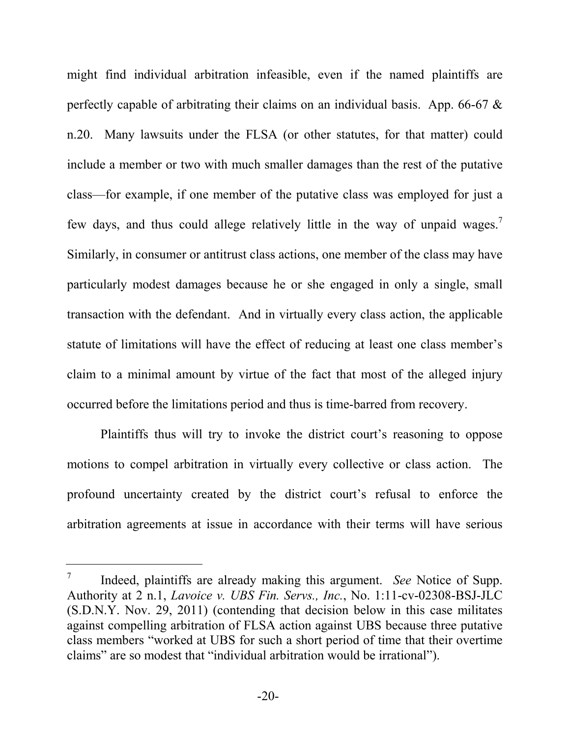might find individual arbitration infeasible, even if the named plaintiffs are perfectly capable of arbitrating their claims on an individual basis. App. 66-67 & n.20.Many lawsuits under the FLSA (or other statutes, for that matter) could include a member or two with much smaller damages than the rest of the putative class—for example, if one member of the putative class was employed for just a few days, and thus could allege relatively little in the way of unpaid wages.<sup>7</sup> Similarly, in consumer or antitrust class actions, one member of the class may have particularly modest damages because he or she engaged in only a single, small transaction with the defendant. And in virtually every class action, the applicable statute of limitations will have the effect of reducing at least one class member's claim to a minimal amount by virtue of the fact that most of the alleged injury occurred before the limitations period and thus is time-barred from recovery.

Plaintiffs thus will try to invoke the district court's reasoning to oppose motions to compel arbitration in virtually every collective or class action. The profound uncertainty created by the district court's refusal to enforce the arbitration agreements at issue in accordance with their terms will have serious

<sup>7</sup> Indeed, plaintiffs are already making this argument. *See* Notice of Supp. Authority at 2 n.1, *Lavoice v. UBS Fin. Servs., Inc.*, No. 1:11-cv-02308-BSJ-JLC (S.D.N.Y. Nov. 29, 2011) (contending that decision below in this case militates against compelling arbitration of FLSA action against UBS because three putative class members "worked at UBS for such a short period of time that their overtime claims" are so modest that "individual arbitration would be irrational").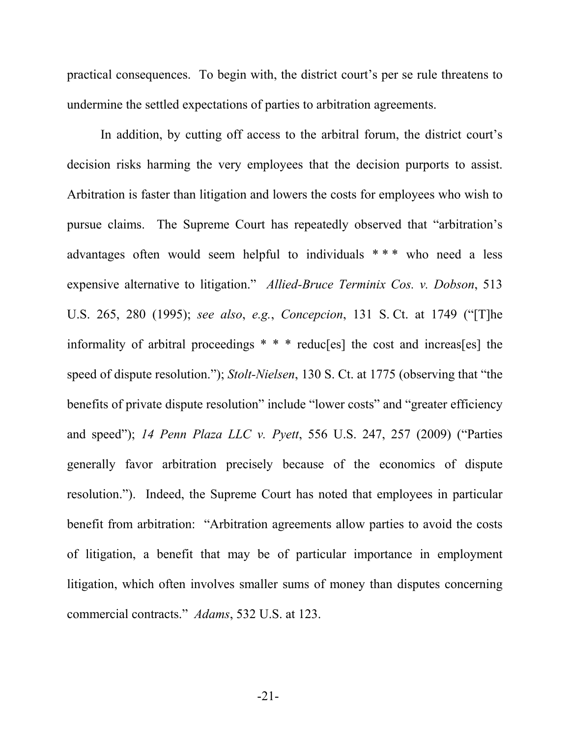practical consequences. To begin with, the district court's per se rule threatens to undermine the settled expectations of parties to arbitration agreements.

In addition, by cutting off access to the arbitral forum, the district court's decision risks harming the very employees that the decision purports to assist. Arbitration is faster than litigation and lowers the costs for employees who wish to pursue claims. The Supreme Court has repeatedly observed that "arbitration's advantages often would seem helpful to individuals \* \* \* who need a less expensive alternative to litigation." *Allied-Bruce Terminix Cos. v. Dobson*, 513 U.S. 265, 280 (1995); *see also*, *e.g.*, *Concepcion*, 131 S. Ct. at 1749 ("[T]he informality of arbitral proceedings \* \* \* reduc[es] the cost and increas[es] the speed of dispute resolution."); *Stolt-Nielsen*, 130 S. Ct. at 1775 (observing that "the benefits of private dispute resolution" include "lower costs" and "greater efficiency and speed"); *14 Penn Plaza LLC v. Pyett*, 556 U.S. 247, 257 (2009) ("Parties generally favor arbitration precisely because of the economics of dispute resolution."). Indeed, the Supreme Court has noted that employees in particular benefit from arbitration: "Arbitration agreements allow parties to avoid the costs of litigation, a benefit that may be of particular importance in employment litigation, which often involves smaller sums of money than disputes concerning commercial contracts." *Adams*, 532 U.S. at 123.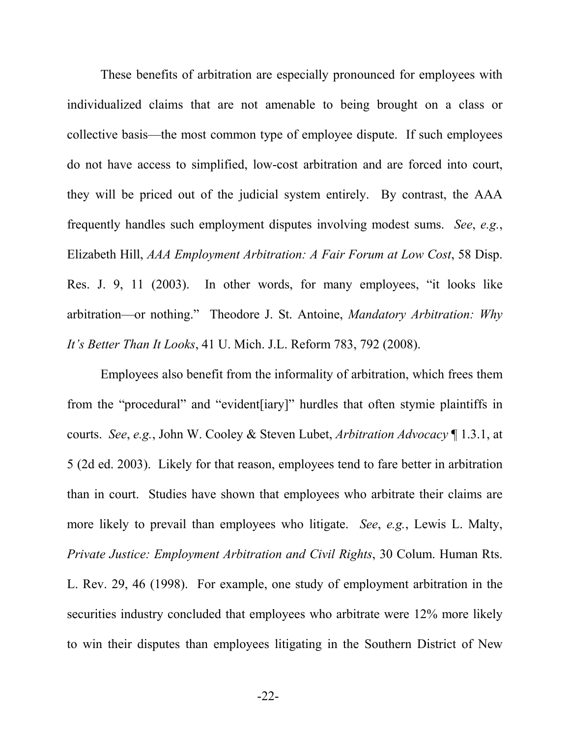These benefits of arbitration are especially pronounced for employees with individualized claims that are not amenable to being brought on a class or collective basis—the most common type of employee dispute. If such employees do not have access to simplified, low-cost arbitration and are forced into court, they will be priced out of the judicial system entirely. By contrast, the AAA frequently handles such employment disputes involving modest sums. *See*, *e.g.*, Elizabeth Hill, *AAA Employment Arbitration: A Fair Forum at Low Cost*, 58 Disp. Res. J. 9, 11 (2003). In other words, for many employees, "it looks like arbitration—or nothing." Theodore J. St. Antoine, *Mandatory Arbitration: Why It's Better Than It Looks*, 41 U. Mich. J.L. Reform 783, 792 (2008).

Employees also benefit from the informality of arbitration, which frees them from the "procedural" and "evident[iary]" hurdles that often stymie plaintiffs in courts. *See*, *e.g.*, John W. Cooley & Steven Lubet, *Arbitration Advocacy* ¶ 1.3.1, at 5 (2d ed. 2003). Likely for that reason, employees tend to fare better in arbitration than in court. Studies have shown that employees who arbitrate their claims are more likely to prevail than employees who litigate. *See*, *e.g.*, Lewis L. Malty, *Private Justice: Employment Arbitration and Civil Rights*, 30 Colum. Human Rts. L. Rev. 29, 46 (1998). For example, one study of employment arbitration in the securities industry concluded that employees who arbitrate were 12% more likely to win their disputes than employees litigating in the Southern District of New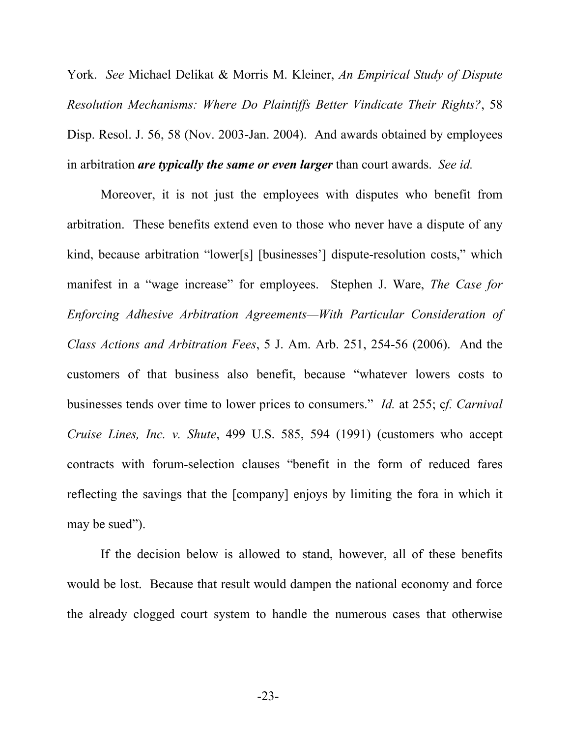York. *See* Michael Delikat & Morris M. Kleiner, *An Empirical Study of Dispute Resolution Mechanisms: Where Do Plaintiffs Better Vindicate Their Rights?*, 58 Disp. Resol. J. 56, 58 (Nov. 2003-Jan. 2004). And awards obtained by employees in arbitration *are typically the same or even larger* than court awards. *See id.* 

Moreover, it is not just the employees with disputes who benefit from arbitration. These benefits extend even to those who never have a dispute of any kind, because arbitration "lower[s] [businesses'] dispute-resolution costs," which manifest in a "wage increase" for employees. Stephen J. Ware, *The Case for Enforcing Adhesive Arbitration Agreements—With Particular Consideration of Class Actions and Arbitration Fees*, 5 J. Am. Arb. 251, 254-56 (2006). And the customers of that business also benefit, because "whatever lowers costs to businesses tends over time to lower prices to consumers." *Id.* at 255; c*f. Carnival Cruise Lines, Inc. v. Shute*, 499 U.S. 585, 594 (1991) (customers who accept contracts with forum-selection clauses "benefit in the form of reduced fares reflecting the savings that the [company] enjoys by limiting the fora in which it may be sued").

If the decision below is allowed to stand, however, all of these benefits would be lost. Because that result would dampen the national economy and force the already clogged court system to handle the numerous cases that otherwise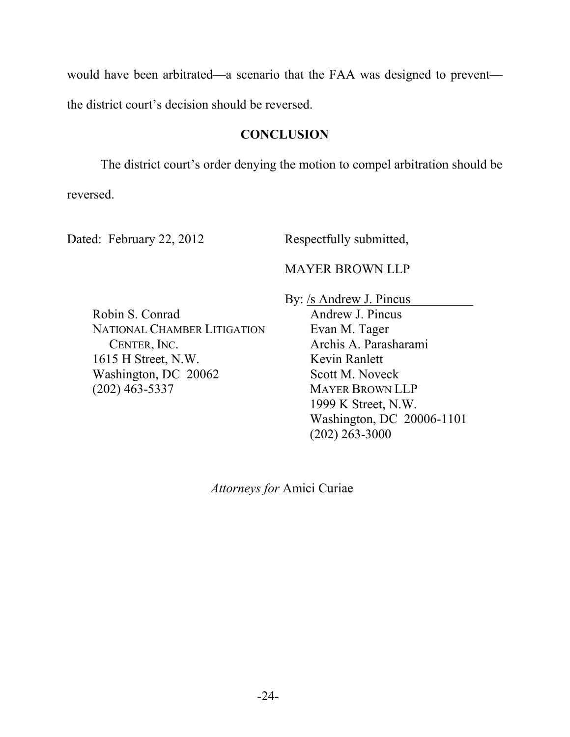would have been arbitrated—a scenario that the FAA was designed to prevent the district court's decision should be reversed.

## **CONCLUSION**

The district court's order denying the motion to compel arbitration should be reversed.

Dated: February 22, 2012 Respectfully submitted,

MAYER BROWN LLP

Robin S. Conrad NATIONAL CHAMBER LITIGATION CENTER, INC. 1615 H Street, N.W. Washington, DC 20062 (202) 463-5337

By: /s Andrew J. Pincus Andrew J. Pincus Evan M. Tager Archis A. Parasharami Kevin Ranlett Scott M. Noveck MAYER BROWN LLP 1999 K Street, N.W. Washington, DC 20006-1101 (202) 263-3000

*Attorneys for* Amici Curiae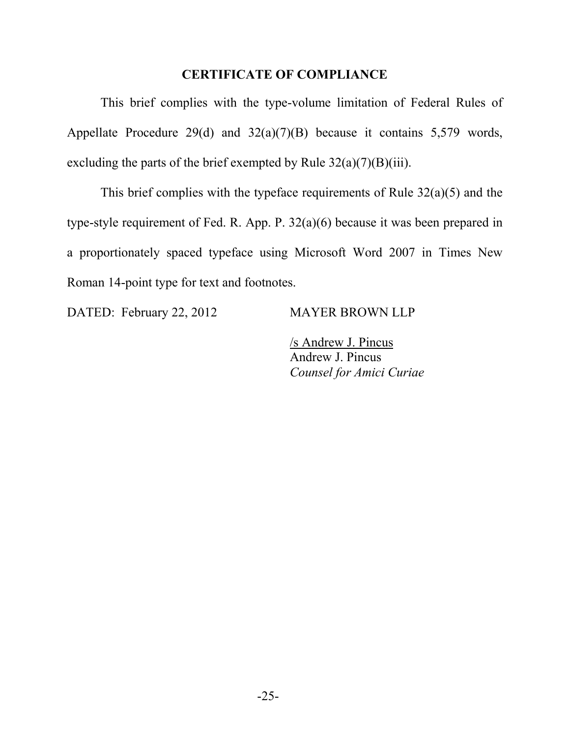#### **CERTIFICATE OF COMPLIANCE**

This brief complies with the type-volume limitation of Federal Rules of Appellate Procedure 29(d) and 32(a)(7)(B) because it contains 5,579 words, excluding the parts of the brief exempted by Rule  $32(a)(7)(B)(iii)$ .

This brief complies with the typeface requirements of Rule  $32(a)(5)$  and the type-style requirement of Fed. R. App. P. 32(a)(6) because it was been prepared in a proportionately spaced typeface using Microsoft Word 2007 in Times New Roman 14-point type for text and footnotes.

DATED: February 22, 2012 MAYER BROWN LLP

/s Andrew J. Pincus Andrew J. Pincus *Counsel for Amici Curiae*